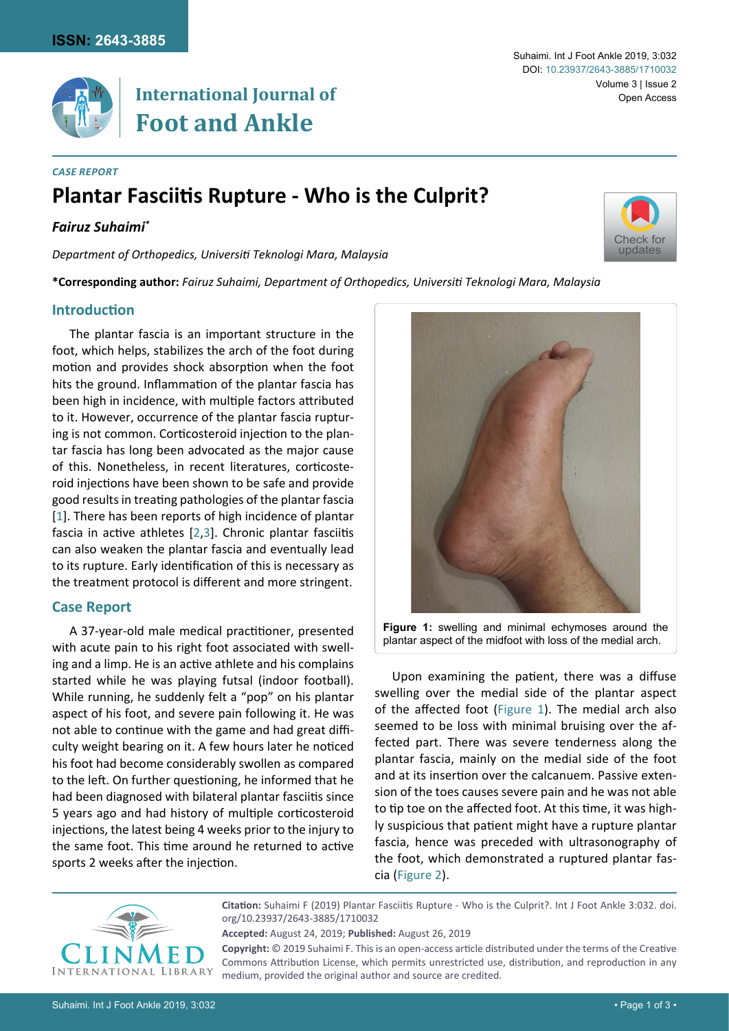

# **International Journal of Foot and Ankle**

### *Case Report*

# **Plantar Fasciitis Rupture - Who is the Culprit?**

# *Fairuz Suhaimi\**

*Department of Orthopedics, Universiti Teknologi Mara, Malaysia*

**\*Corresponding author:** *Fairuz Suhaimi, Department of Orthopedics, Universiti Teknologi Mara, Malaysia*

### **Introduction**

The plantar fascia is an important structure in the foot, which helps, stabilizes the arch of the foot during motion and provides shock absorption when the foot hits the ground. Inflammation of the plantar fascia has been high in incidence, with multiple factors attributed to it. However, occurrence of the plantar fascia rupturing is not common. Corticosteroid injection to the plantar fascia has long been advocated as the major cause of this. Nonetheless, in recent literatures, corticosteroid injections have been shown to be safe and provide good results in treating pathologies of the plantar fascia [[1](#page-2-0)]. There has been reports of high incidence of plantar fascia in active athletes [[2](#page-2-1)[,3\]](#page-2-2). Chronic plantar fasciitis can also weaken the plantar fascia and eventually lead to its rupture. Early identification of this is necessary as the treatment protocol is different and more stringent.

#### **Case Report**

A 37-year-old male medical practitioner, presented with acute pain to his right foot associated with swelling and a limp. He is an active athlete and his complains started while he was playing futsal (indoor football). While running, he suddenly felt a "pop" on his plantar aspect of his foot, and severe pain following it. He was not able to continue with the game and had great difficulty weight bearing on it. A few hours later he noticed his foot had become considerably swollen as compared to the left. On further questioning, he informed that he had been diagnosed with bilateral plantar fasciitis since 5 years ago and had history of multiple corticosteroid injections, the latest being 4 weeks prior to the injury to the same foot. This time around he returned to active sports 2 weeks after the injection.

<span id="page-0-0"></span>

Upon examining the patient, there was a diffuse swelling over the medial side of the plantar aspect of the affected foot ([Figure 1\)](#page-0-0). The medial arch also seemed to be loss with minimal bruising over the affected part. There was severe tenderness along the plantar fascia, mainly on the medial side of the foot and at its insertion over the calcanuem. Passive extension of the toes causes severe pain and he was not able to tip toe on the affected foot. At this time, it was highly suspicious that patient might have a rupture plantar fascia, hence was preceded with ultrasonography of the foot, which demonstrated a ruptured plantar fascia ([Figure 2](#page-1-0)).



**Citation:** Suhaimi F (2019) Plantar Fasciitis Rupture - Who is the Culprit?. Int J Foot Ankle 3:032. [doi.](https://doi.org/10.23937/2643-3885/1710032) [org/10.23937/2643-3885/1710032](https://doi.org/10.23937/2643-3885/1710032)

**Accepted:** August 24, 2019; **Published:** August 26, 2019

**Copyright:** © 2019 Suhaimi F. This is an open-access article distributed under the terms of the Creative Commons Attribution License, which permits unrestricted use, distribution, and reproduction in any medium, provided the original author and source are credited.

Volume 3 | Issue 2

Open Access

Suhaimi. Int J Foot Ankle 2019, 3:032

DOI: [10.23937/2643-3885/1710032](https://doi.org/10.23937/2643-3885/1710032)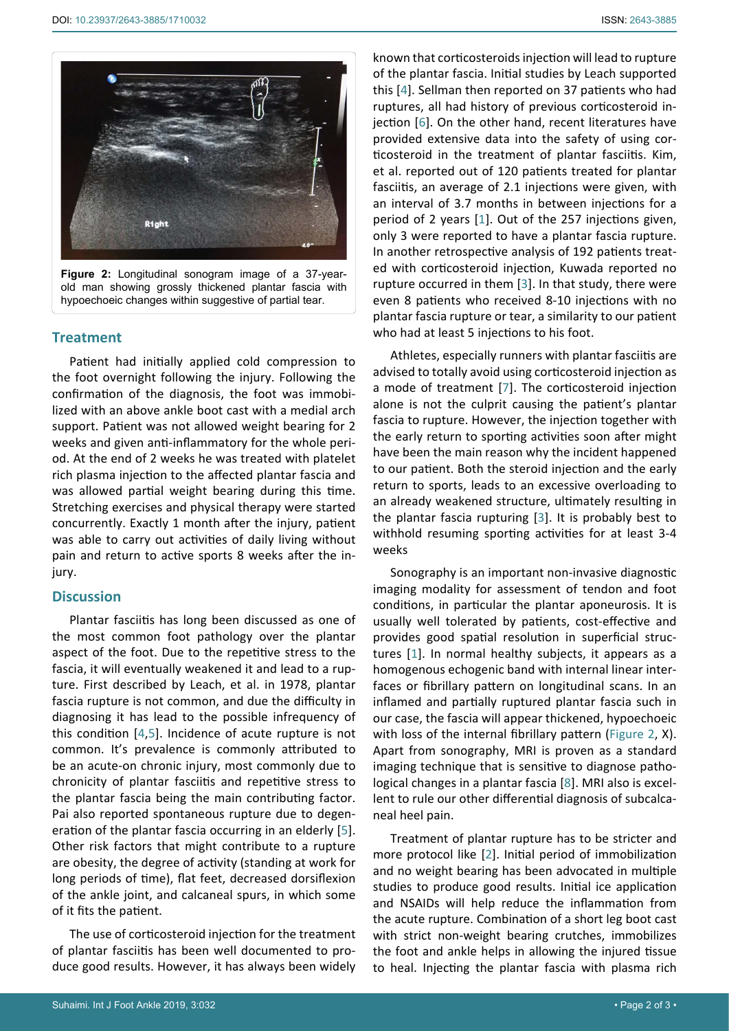<span id="page-1-0"></span>

**Figure 2:** Longitudinal sonogram image of a 37-yearold man showing grossly thickened plantar fascia with hypoechoeic changes within suggestive of partial tear.

#### **Treatment**

Patient had initially applied cold compression to the foot overnight following the injury. Following the confirmation of the diagnosis, the foot was immobilized with an above ankle boot cast with a medial arch support. Patient was not allowed weight bearing for 2 weeks and given anti-inflammatory for the whole period. At the end of 2 weeks he was treated with platelet rich plasma injection to the affected plantar fascia and was allowed partial weight bearing during this time. Stretching exercises and physical therapy were started concurrently. Exactly 1 month after the injury, patient was able to carry out activities of daily living without pain and return to active sports 8 weeks after the injury.

## **Discussion**

Plantar fasciitis has long been discussed as one of the most common foot pathology over the plantar aspect of the foot. Due to the repetitive stress to the fascia, it will eventually weakened it and lead to a rupture. First described by Leach, et al. in 1978, plantar fascia rupture is not common, and due the difficulty in diagnosing it has lead to the possible infrequency of this condition [[4](#page-2-3)[,5\]](#page-2-7). Incidence of acute rupture is not common. It's prevalence is commonly attributed to be an acute-on chronic injury, most commonly due to chronicity of plantar fasciitis and repetitive stress to the plantar fascia being the main contributing factor. Pai also reported spontaneous rupture due to degeneration of the plantar fascia occurring in an elderly [[5](#page-2-7)]. Other risk factors that might contribute to a rupture are obesity, the degree of activity (standing at work for long periods of time), flat feet, decreased dorsiflexion of the ankle joint, and calcaneal spurs, in which some of it fits the patient.

The use of corticosteroid injection for the treatment of plantar fasciitis has been well documented to produce good results. However, it has always been widely

Suhaimi. Int J Foot Ankle 2019, 3:032 • Page 2 of 3 • Page 2 of 3 • Page 2 of 3 • Page 2 of 3 • Page 2 of 3 • Page 2 of 3 • Page 2 of 3 • Page 2 of 3 • Page 2 of 3 • Page 2 of 3 • Page 2 of 3 • Page 2 of 3 • Page 2 of 3 •

known that corticosteroids injection will lead to rupture of the plantar fascia. Initial studies by Leach supported this [[4\]](#page-2-3). Sellman then reported on 37 patients who had ruptures, all had history of previous corticosteroid injection [\[6\]](#page-2-4). On the other hand, recent literatures have provided extensive data into the safety of using corticosteroid in the treatment of plantar fasciitis. Kim, et al. reported out of 120 patients treated for plantar fasciitis, an average of 2.1 injections were given, with an interval of 3.7 months in between injections for a period of 2 years [[1](#page-2-0)]. Out of the 257 injections given, only 3 were reported to have a plantar fascia rupture. In another retrospective analysis of 192 patients treated with corticosteroid injection, Kuwada reported no rupture occurred in them [[3](#page-2-2)]. In that study, there were even 8 patients who received 8-10 injections with no plantar fascia rupture or tear, a similarity to our patient who had at least 5 injections to his foot.

Athletes, especially runners with plantar fasciitis are advised to totally avoid using corticosteroid injection as a mode of treatment [\[7](#page-2-5)]. The corticosteroid injection alone is not the culprit causing the patient's plantar fascia to rupture. However, the injection together with the early return to sporting activities soon after might have been the main reason why the incident happened to our patient. Both the steroid injection and the early return to sports, leads to an excessive overloading to an already weakened structure, ultimately resulting in the plantar fascia rupturing [\[3\]](#page-2-2). It is probably best to withhold resuming sporting activities for at least 3-4 weeks

Sonography is an important non-invasive diagnostic imaging modality for assessment of tendon and foot conditions, in particular the plantar aponeurosis. It is usually well tolerated by patients, cost-effective and provides good spatial resolution in superficial structures [[1](#page-2-0)]. In normal healthy subjects, it appears as a homogenous echogenic band with internal linear interfaces or fibrillary pattern on longitudinal scans. In an inflamed and partially ruptured plantar fascia such in our case, the fascia will appear thickened, hypoechoeic with loss of the internal fibrillary pattern ([Figure 2,](#page-1-0) X). Apart from sonography, MRI is proven as a standard imaging technique that is sensitive to diagnose pathological changes in a plantar fascia [[8\]](#page-2-6). MRI also is excellent to rule our other differential diagnosis of subcalcaneal heel pain.

Treatment of plantar rupture has to be stricter and more protocol like [[2](#page-2-1)]. Initial period of immobilization and no weight bearing has been advocated in multiple studies to produce good results. Initial ice application and NSAIDs will help reduce the inflammation from the acute rupture. Combination of a short leg boot cast with strict non-weight bearing crutches, immobilizes the foot and ankle helps in allowing the injured tissue to heal. Injecting the plantar fascia with plasma rich